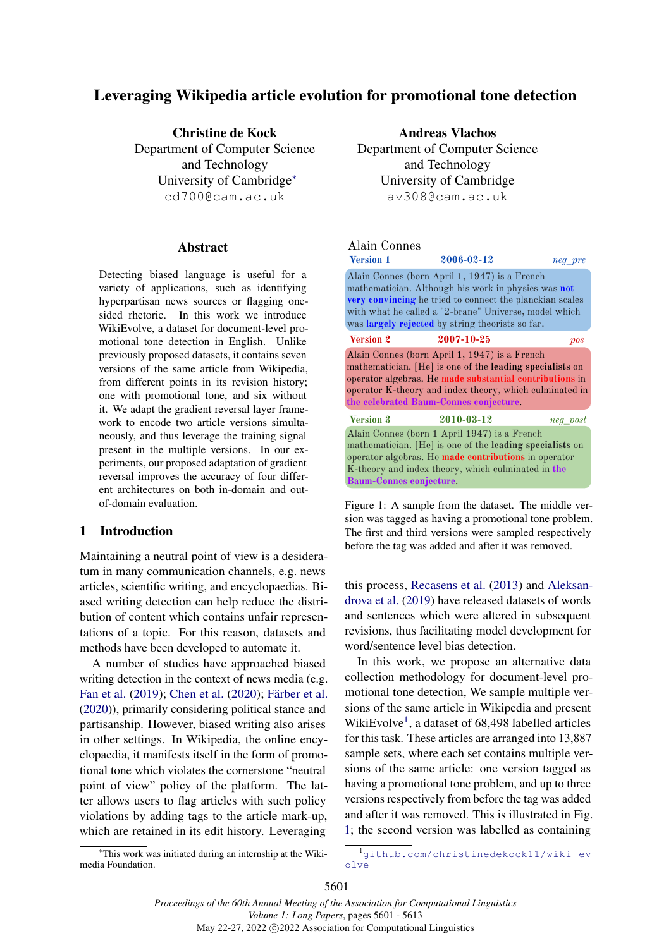## <span id="page-0-0"></span>Leveraging Wikipedia article evolution for promotional tone detection

Christine de Kock Department of Computer Science and Technology University of Cambridg[e](#page-0-0)<sup>∗</sup> cd700@cam.ac.uk

#### Abstract

Detecting biased language is useful for a variety of applications, such as identifying hyperpartisan news sources or flagging onesided rhetoric. In this work we introduce WikiEvolve, a dataset for document-level promotional tone detection in English. Unlike previously proposed datasets, it contains seven versions of the same article from Wikipedia, from different points in its revision history; one with promotional tone, and six without it. We adapt the gradient reversal layer framework to encode two article versions simultaneously, and thus leverage the training signal present in the multiple versions. In our experiments, our proposed adaptation of gradient reversal improves the accuracy of four different architectures on both in-domain and outof-domain evaluation.

## <span id="page-0-3"></span>1 Introduction

Maintaining a neutral point of view is a desideratum in many communication channels, e.g. news articles, scientific writing, and encyclopaedias. Biased writing detection can help reduce the distribution of content which contains unfair representations of a topic. For this reason, datasets and methods have been developed to automate it.

A number of studies have approached biased writing detection in the context of news media (e.g. [Fan et al.](#page-8-0) [\(2019\)](#page-8-0); [Chen et al.](#page-8-1) [\(2020\)](#page-8-1); [Färber et al.](#page-9-0) [\(2020\)](#page-9-0)), primarily considering political stance and partisanship. However, biased writing also arises in other settings. In Wikipedia, the online encyclopaedia, it manifests itself in the form of promotional tone which violates the cornerstone "neutral point of view" policy of the platform. The latter allows users to flag articles with such policy violations by adding tags to the article mark-up, which are retained in its edit history. Leveraging

<sup>∗</sup>This work was initiated during an internship at the Wikimedia Foundation.

Andreas Vlachos Department of Computer Science and Technology University of Cambridge av308@cam.ac.uk

## <span id="page-0-2"></span>Alain Connes

| <b>Version 1</b>                                                                                                                                                                                                                                                                     | 2006-02-12                                                                                                                                                                                                             | neg_pre  |  |  |
|--------------------------------------------------------------------------------------------------------------------------------------------------------------------------------------------------------------------------------------------------------------------------------------|------------------------------------------------------------------------------------------------------------------------------------------------------------------------------------------------------------------------|----------|--|--|
| Alain Connes (born April 1, 1947) is a French<br>mathematician. Although his work in physics was not<br>very convincing he tried to connect the planckian scales<br>with what he called a "2-brane" Universe, model which<br>was <b>largely rejected</b> by string theorists so far. |                                                                                                                                                                                                                        |          |  |  |
| <b>Version 2</b>                                                                                                                                                                                                                                                                     | 2007-10-25                                                                                                                                                                                                             | pos      |  |  |
| Alain Connes (born April 1, 1947) is a French<br>mathematician. [He] is one of the leading specialists on<br>operator algebras. He made substantial contributions in<br>operator K-theory and index theory, which culminated in<br>the celebrated Baum-Connes conjecture.            |                                                                                                                                                                                                                        |          |  |  |
| <b>Version 3</b>                                                                                                                                                                                                                                                                     | 2010-03-12                                                                                                                                                                                                             | neg_post |  |  |
| <b>Baum-Connes conjecture.</b>                                                                                                                                                                                                                                                       | Alain Connes (born 1 April 1947) is a French<br>mathematician. [He] is one of the leading specialists on<br>operator algebras. He made contributions in operator<br>K-theory and index theory, which culminated in the |          |  |  |

Figure 1: A sample from the dataset. The middle version was tagged as having a promotional tone problem. The first and third versions were sampled respectively before the tag was added and after it was removed.

this process, [Recasens et al.](#page-9-1) [\(2013\)](#page-9-1) and [Aleksan](#page-8-2)[drova et al.](#page-8-2) [\(2019\)](#page-8-2) have released datasets of words and sentences which were altered in subsequent revisions, thus facilitating model development for word/sentence level bias detection.

In this work, we propose an alternative data collection methodology for document-level promotional tone detection, We sample multiple versions of the same article in Wikipedia and present WikiEvolve<sup>[1](#page-0-1)</sup>, a dataset of 68,498 labelled articles for this task. These articles are arranged into 13,887 sample sets, where each set contains multiple versions of the same article: one version tagged as having a promotional tone problem, and up to three versions respectively from before the tag was added and after it was removed. This is illustrated in Fig. [1;](#page-0-2) the second version was labelled as containing

<span id="page-0-1"></span><sup>1</sup>[github.com/christinedekock11/wiki-ev](github.com/christinedekock11/wiki-evolve) [olve](github.com/christinedekock11/wiki-evolve)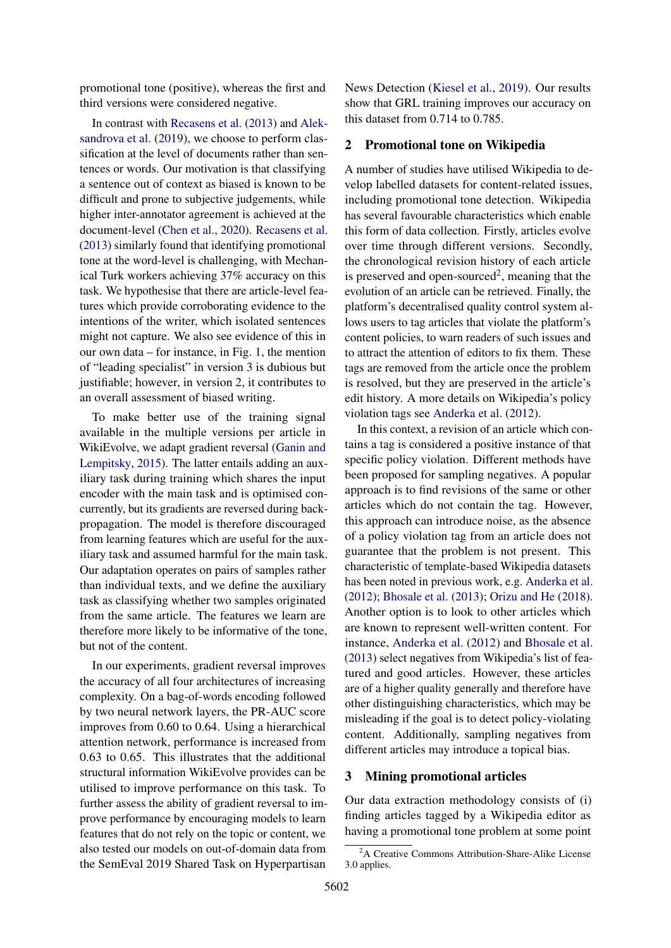promotional tone (positive), whereas the first and third versions were considered negative.

In contrast with [Recasens et al.](#page-9-1) [\(2013\)](#page-9-1) and [Alek](#page-8-2)[sandrova et al.](#page-8-2) [\(2019\)](#page-8-2), we choose to perform classification at the level of documents rather than sentences or words. Our motivation is that classifying a sentence out of context as biased is known to be difficult and prone to subjective judgements, while higher inter-annotator agreement is achieved at the document-level [\(Chen et al.,](#page-8-1) [2020\)](#page-8-1). [Recasens et al.](#page-9-1) [\(2013\)](#page-9-1) similarly found that identifying promotional tone at the word-level is challenging, with Mechanical Turk workers achieving 37% accuracy on this task. We hypothesise that there are article-level features which provide corroborating evidence to the intentions of the writer, which isolated sentences might not capture. We also see evidence of this in our own data – for instance, in Fig. [1,](#page-0-2) the mention of "leading specialist" in version 3 is dubious but justifiable; however, in version 2, it contributes to an overall assessment of biased writing.

To make better use of the training signal available in the multiple versions per article in WikiEvolve, we adapt gradient reversal [\(Ganin and](#page-9-2) [Lempitsky,](#page-9-2) [2015\)](#page-9-2). The latter entails adding an auxiliary task during training which shares the input encoder with the main task and is optimised concurrently, but its gradients are reversed during backpropagation. The model is therefore discouraged from learning features which are useful for the auxiliary task and assumed harmful for the main task. Our adaptation operates on pairs of samples rather than individual texts, and we define the auxiliary task as classifying whether two samples originated from the same article. The features we learn are therefore more likely to be informative of the tone, but not of the content.

In our experiments, gradient reversal improves the accuracy of all four architectures of increasing complexity. On a bag-of-words encoding followed by two neural network layers, the PR-AUC score improves from 0.60 to 0.64. Using a hierarchical attention network, performance is increased from 0.63 to 0.65. This illustrates that the additional structural information WikiEvolve provides can be utilised to improve performance on this task. To further assess the ability of gradient reversal to improve performance by encouraging models to learn features that do not rely on the topic or content, we also tested our models on out-of-domain data from the SemEval 2019 Shared Task on Hyperpartisan

News Detection [\(Kiesel et al.,](#page-9-3) [2019\)](#page-9-3). Our results show that GRL training improves our accuracy on this dataset from 0.714 to 0.785.

## <span id="page-1-1"></span>2 Promotional tone on Wikipedia

A number of studies have utilised Wikipedia to develop labelled datasets for content-related issues, including promotional tone detection. Wikipedia has several favourable characteristics which enable this form of data collection. Firstly, articles evolve over time through different versions. Secondly, the chronological revision history of each article is preserved and open-sourced<sup>[2](#page-1-0)</sup>, meaning that the evolution of an article can be retrieved. Finally, the platform's decentralised quality control system allows users to tag articles that violate the platform's content policies, to warn readers of such issues and to attract the attention of editors to fix them. These tags are removed from the article once the problem is resolved, but they are preserved in the article's edit history. A more details on Wikipedia's policy violation tags see [Anderka et al.](#page-8-3) [\(2012\)](#page-8-3).

In this context, a revision of an article which contains a tag is considered a positive instance of that specific policy violation. Different methods have been proposed for sampling negatives. A popular approach is to find revisions of the same or other articles which do not contain the tag. However, this approach can introduce noise, as the absence of a policy violation tag from an article does not guarantee that the problem is not present. This characteristic of template-based Wikipedia datasets has been noted in previous work, e.g. [Anderka et al.](#page-8-3) [\(2012\)](#page-8-3); [Bhosale et al.](#page-8-4) [\(2013\)](#page-8-4); [Orizu and He](#page-9-4) [\(2018\)](#page-9-4). Another option is to look to other articles which are known to represent well-written content. For instance, [Anderka et al.](#page-8-3) [\(2012\)](#page-8-3) and [Bhosale et al.](#page-8-4) [\(2013\)](#page-8-4) select negatives from Wikipedia's list of featured and good articles. However, these articles are of a higher quality generally and therefore have other distinguishing characteristics, which may be misleading if the goal is to detect policy-violating content. Additionally, sampling negatives from different articles may introduce a topical bias.

#### 3 Mining promotional articles

Our data extraction methodology consists of (i) finding articles tagged by a Wikipedia editor as having a promotional tone problem at some point

<span id="page-1-0"></span><sup>&</sup>lt;sup>2</sup>A Creative Commons Attribution-Share-Alike License 3.0 applies.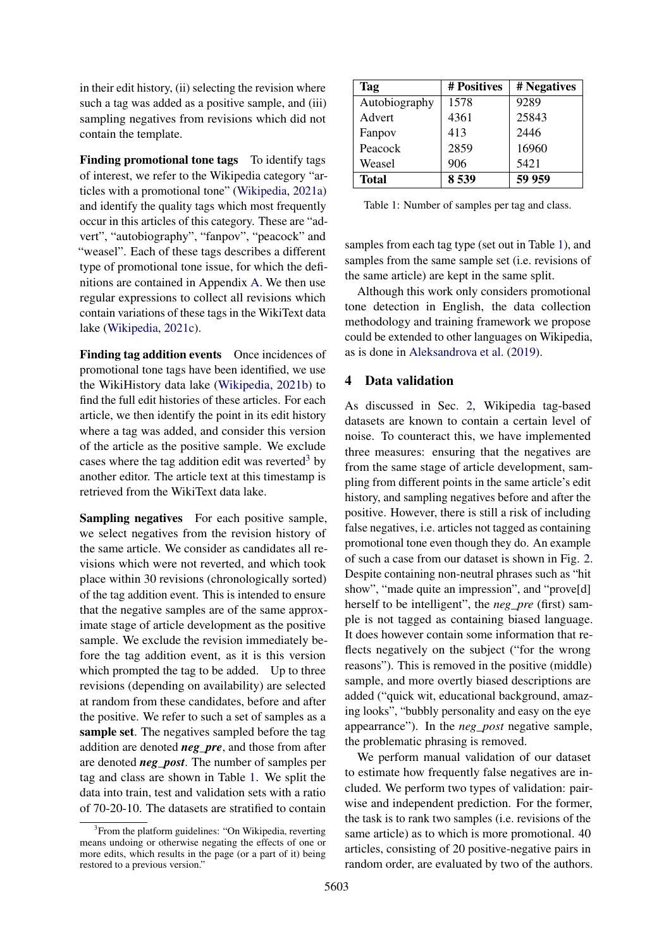in their edit history, (ii) selecting the revision where such a tag was added as a positive sample, and (iii) sampling negatives from revisions which did not contain the template.

Finding promotional tone tags To identify tags of interest, we refer to the Wikipedia category "articles with a promotional tone" [\(Wikipedia,](#page-9-5) [2021a\)](#page-9-5) and identify the quality tags which most frequently occur in this articles of this category. These are "advert", "autobiography", "fanpov", "peacock" and "weasel". Each of these tags describes a different type of promotional tone issue, for which the definitions are contained in Appendix [A.](#page-9-6) We then use regular expressions to collect all revisions which contain variations of these tags in the WikiText data lake [\(Wikipedia,](#page-9-7) [2021c\)](#page-9-7).

Finding tag addition events Once incidences of promotional tone tags have been identified, we use the WikiHistory data lake [\(Wikipedia,](#page-9-8) [2021b\)](#page-9-8) to find the full edit histories of these articles. For each article, we then identify the point in its edit history where a tag was added, and consider this version of the article as the positive sample. We exclude cases where the tag addition edit was reverted<sup>[3](#page-2-0)</sup> by another editor. The article text at this timestamp is retrieved from the WikiText data lake.

Sampling negatives For each positive sample, we select negatives from the revision history of the same article. We consider as candidates all revisions which were not reverted, and which took place within 30 revisions (chronologically sorted) of the tag addition event. This is intended to ensure that the negative samples are of the same approximate stage of article development as the positive sample. We exclude the revision immediately before the tag addition event, as it is this version which prompted the tag to be added. Up to three revisions (depending on availability) are selected at random from these candidates, before and after the positive. We refer to such a set of samples as a sample set. The negatives sampled before the tag addition are denoted *neg\_pre*, and those from after are denoted *neg\_post*. The number of samples per tag and class are shown in Table [1.](#page-2-1) We split the data into train, test and validation sets with a ratio of 70-20-10. The datasets are stratified to contain

<span id="page-2-1"></span>

| Tag           | # Positives | # Negatives |
|---------------|-------------|-------------|
| Autobiography | 1578        | 9289        |
| Advert        | 4361        | 25843       |
| Fanpov        | 413         | 2446        |
| Peacock       | 2859        | 16960       |
| Weasel        | 906         | 5421        |
| <b>Total</b>  | 8 5 39      | 59 959      |

Table 1: Number of samples per tag and class.

samples from each tag type (set out in Table [1\)](#page-2-1), and samples from the same sample set (i.e. revisions of the same article) are kept in the same split.

Although this work only considers promotional tone detection in English, the data collection methodology and training framework we propose could be extended to other languages on Wikipedia, as is done in [Aleksandrova et al.](#page-8-2) [\(2019\)](#page-8-2).

## <span id="page-2-2"></span>4 Data validation

As discussed in Sec. [2,](#page-1-1) Wikipedia tag-based datasets are known to contain a certain level of noise. To counteract this, we have implemented three measures: ensuring that the negatives are from the same stage of article development, sampling from different points in the same article's edit history, and sampling negatives before and after the positive. However, there is still a risk of including false negatives, i.e. articles not tagged as containing promotional tone even though they do. An example of such a case from our dataset is shown in Fig. [2.](#page-3-0) Despite containing non-neutral phrases such as "hit show", "made quite an impression", and "prove[d] herself to be intelligent", the *neg\_pre* (first) sample is not tagged as containing biased language. It does however contain some information that reflects negatively on the subject ("for the wrong reasons"). This is removed in the positive (middle) sample, and more overtly biased descriptions are added ("quick wit, educational background, amazing looks", "bubbly personality and easy on the eye appearrance"). In the *neg\_post* negative sample, the problematic phrasing is removed.

We perform manual validation of our dataset to estimate how frequently false negatives are included. We perform two types of validation: pairwise and independent prediction. For the former, the task is to rank two samples (i.e. revisions of the same article) as to which is more promotional. 40 articles, consisting of 20 positive-negative pairs in random order, are evaluated by two of the authors.

<span id="page-2-0"></span><sup>&</sup>lt;sup>3</sup> From the platform guidelines: "On Wikipedia, reverting means undoing or otherwise negating the effects of one or more edits, which results in the page (or a part of it) being restored to a previous version."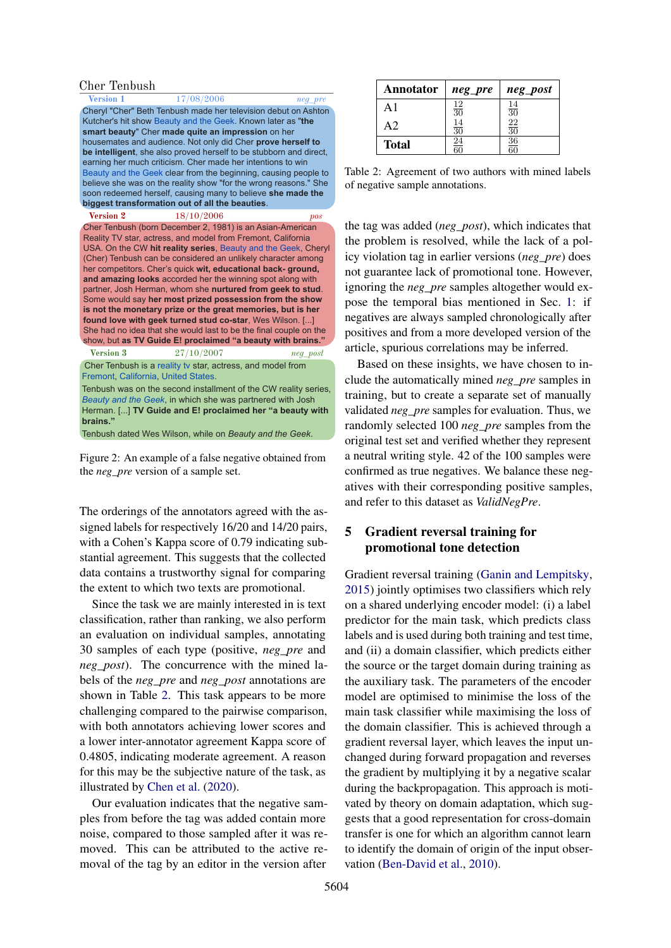<span id="page-3-0"></span>

| Cher Tenbush                                                                                                                                                                                                                                                                                                                                                                                                                                                                                                                                                                                                                                                                                                                                                                     |                                                                                                                              |
|----------------------------------------------------------------------------------------------------------------------------------------------------------------------------------------------------------------------------------------------------------------------------------------------------------------------------------------------------------------------------------------------------------------------------------------------------------------------------------------------------------------------------------------------------------------------------------------------------------------------------------------------------------------------------------------------------------------------------------------------------------------------------------|------------------------------------------------------------------------------------------------------------------------------|
| 17/08/2006                                                                                                                                                                                                                                                                                                                                                                                                                                                                                                                                                                                                                                                                                                                                                                       | neg pre                                                                                                                      |
| Cheryl "Cher" Beth Tenbush made her television debut on Ashton<br>Kutcher's hit show Beauty and the Geek. Known later as "the<br>smart beauty" Cher made quite an impression on her<br>housemates and audience. Not only did Cher prove herself to<br>be intelligent, she also proved herself to be stubborn and direct.<br>earning her much criticism. Cher made her intentions to win<br>Beauty and the Geek clear from the beginning, causing people to                                                                                                                                                                                                                                                                                                                       |                                                                                                                              |
| believe she was on the reality show "for the wrong reasons." She                                                                                                                                                                                                                                                                                                                                                                                                                                                                                                                                                                                                                                                                                                                 |                                                                                                                              |
|                                                                                                                                                                                                                                                                                                                                                                                                                                                                                                                                                                                                                                                                                                                                                                                  |                                                                                                                              |
|                                                                                                                                                                                                                                                                                                                                                                                                                                                                                                                                                                                                                                                                                                                                                                                  | pos                                                                                                                          |
| Cher Tenbush (born December 2, 1981) is an Asian-American<br>Reality TV star, actress, and model from Fremont, California<br>USA. On the CW hit reality series, Beauty and the Geek, Cheryl<br>(Cher) Tenbush can be considered an unlikely character among<br>her competitors. Cher's quick wit, educational back-ground,<br>and amazing looks accorded her the winning spot along with<br>partner, Josh Herman, whom she nurtured from geek to stud.<br>Some would say her most prized possession from the show<br>is not the monetary prize or the great memories, but is her<br>found love with geek turned stud co-star, Wes Wilson. []<br>She had no idea that she would last to be the final couple on the<br>show, but as TV Guide E! proclaimed "a beauty with brains." |                                                                                                                              |
| 27/10/2007                                                                                                                                                                                                                                                                                                                                                                                                                                                                                                                                                                                                                                                                                                                                                                       | neg post                                                                                                                     |
| Cher Tenbush is a reality tv star, actress, and model from<br>Fremont, California, United States.<br>Tenbush was on the second installment of the CW reality series.<br>Beauty and the Geek, in which she was partnered with Josh<br>Herman. [] TV Guide and E! proclaimed her "a beauty with                                                                                                                                                                                                                                                                                                                                                                                                                                                                                    |                                                                                                                              |
|                                                                                                                                                                                                                                                                                                                                                                                                                                                                                                                                                                                                                                                                                                                                                                                  | soon redeemed herself, causing many to believe she made the<br>biggest transformation out of all the beauties.<br>18/10/2006 |

Tenbush dated Wes Wilson, while on *Beauty and the Geek*.

Figure 2: An example of a false negative obtained from the *neg\_pre* version of a sample set.

The orderings of the annotators agreed with the assigned labels for respectively 16/20 and 14/20 pairs, with a Cohen's Kappa score of 0.79 indicating substantial agreement. This suggests that the collected data contains a trustworthy signal for comparing the extent to which two texts are promotional.

Since the task we are mainly interested in is text classification, rather than ranking, we also perform an evaluation on individual samples, annotating 30 samples of each type (positive, *neg\_pre* and *neg\_post*). The concurrence with the mined labels of the *neg\_pre* and *neg\_post* annotations are shown in Table [2.](#page-3-1) This task appears to be more challenging compared to the pairwise comparison, with both annotators achieving lower scores and a lower inter-annotator agreement Kappa score of 0.4805, indicating moderate agreement. A reason for this may be the subjective nature of the task, as illustrated by [Chen et al.](#page-8-1) [\(2020\)](#page-8-1).

Our evaluation indicates that the negative samples from before the tag was added contain more noise, compared to those sampled after it was removed. This can be attributed to the active removal of the tag by an editor in the version after

<span id="page-3-1"></span>

| Annotator     | neg_pre                | neg_post        |
|---------------|------------------------|-----------------|
| $\mathsf{A}1$ | $\frac{12}{30}$        | $\frac{14}{30}$ |
| A2            | $\frac{14}{30}$        | $\frac{22}{30}$ |
| <b>Total</b>  | $\underline{24}$<br>ឥក | $\frac{36}{60}$ |

Table 2: Agreement of two authors with mined labels of negative sample annotations.

the tag was added (*neg\_post*), which indicates that the problem is resolved, while the lack of a policy violation tag in earlier versions (*neg\_pre*) does not guarantee lack of promotional tone. However, ignoring the *neg\_pre* samples altogether would expose the temporal bias mentioned in Sec. [1:](#page-0-3) if negatives are always sampled chronologically after positives and from a more developed version of the article, spurious correlations may be inferred.

Based on these insights, we have chosen to include the automatically mined *neg\_pre* samples in training, but to create a separate set of manually validated *neg\_pre* samples for evaluation. Thus, we randomly selected 100 *neg\_pre* samples from the original test set and verified whether they represent a neutral writing style. 42 of the 100 samples were confirmed as true negatives. We balance these negatives with their corresponding positive samples, and refer to this dataset as *ValidNegPre*.

## 5 Gradient reversal training for promotional tone detection

Gradient reversal training [\(Ganin and Lempitsky,](#page-9-2) [2015\)](#page-9-2) jointly optimises two classifiers which rely on a shared underlying encoder model: (i) a label predictor for the main task, which predicts class labels and is used during both training and test time, and (ii) a domain classifier, which predicts either the source or the target domain during training as the auxiliary task. The parameters of the encoder model are optimised to minimise the loss of the main task classifier while maximising the loss of the domain classifier. This is achieved through a gradient reversal layer, which leaves the input unchanged during forward propagation and reverses the gradient by multiplying it by a negative scalar during the backpropagation. This approach is motivated by theory on domain adaptation, which suggests that a good representation for cross-domain transfer is one for which an algorithm cannot learn to identify the domain of origin of the input observation [\(Ben-David et al.,](#page-8-5) [2010\)](#page-8-5).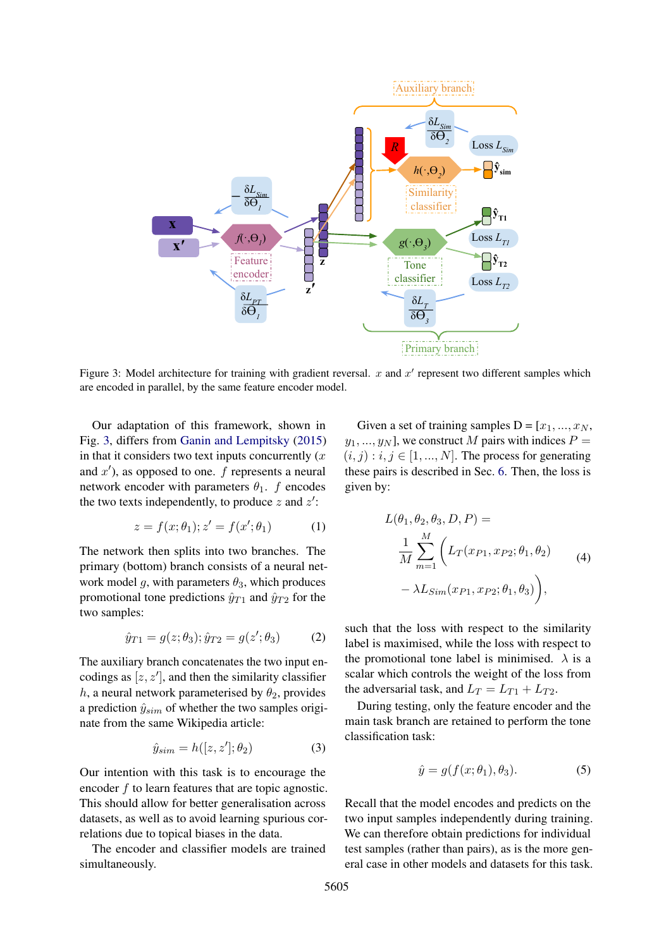<span id="page-4-0"></span>

Figure 3: Model architecture for training with gradient reversal.  $x$  and  $x'$  represent two different samples which are encoded in parallel, by the same feature encoder model.

Our adaptation of this framework, shown in Fig. [3,](#page-4-0) differs from [Ganin and Lempitsky](#page-9-2) [\(2015\)](#page-9-2) in that it considers two text inputs concurrently  $(x)$ and  $x'$ ), as opposed to one.  $f$  represents a neural network encoder with parameters  $\theta_1$ . f encodes the two texts independently, to produce  $z$  and  $z'$ :

$$
z = f(x; \theta_1); z' = f(x'; \theta_1)
$$
 (1)

The network then splits into two branches. The primary (bottom) branch consists of a neural network model g, with parameters  $\theta_3$ , which produces promotional tone predictions  $\hat{y}_{T1}$  and  $\hat{y}_{T2}$  for the two samples:

$$
\hat{y}_{T1} = g(z; \theta_3); \hat{y}_{T2} = g(z'; \theta_3)
$$
 (2)

The auxiliary branch concatenates the two input encodings as  $[z, z']$ , and then the similarity classifier h, a neural network parameterised by  $\theta_2$ , provides a prediction  $\hat{y}_{sim}$  of whether the two samples originate from the same Wikipedia article:

$$
\hat{y}_{sim} = h([z, z'], \theta_2) \tag{3}
$$

Our intention with this task is to encourage the encoder  $f$  to learn features that are topic agnostic. This should allow for better generalisation across datasets, as well as to avoid learning spurious correlations due to topical biases in the data.

The encoder and classifier models are trained simultaneously.

Given a set of training samples  $D = [x_1, ..., x_N,$  $y_1, ..., y_N$ , we construct M pairs with indices  $P =$  $(i, j) : i, j \in [1, ..., N]$ . The process for generating these pairs is described in Sec. [6.](#page-5-0) Then, the loss is given by:

$$
L(\theta_1, \theta_2, \theta_3, D, P) =
$$
  
\n
$$
\frac{1}{M} \sum_{m=1}^{M} \left( L_T(x_{P1}, x_{P2}; \theta_1, \theta_2) - \lambda L_{Sim}(x_{P1}, x_{P2}; \theta_1, \theta_3) \right),
$$
\n(4)

such that the loss with respect to the similarity label is maximised, while the loss with respect to the promotional tone label is minimised.  $\lambda$  is a scalar which controls the weight of the loss from the adversarial task, and  $L_T = L_{T1} + L_{T2}$ .

During testing, only the feature encoder and the main task branch are retained to perform the tone classification task:

<span id="page-4-1"></span>
$$
\hat{y} = g(f(x; \theta_1), \theta_3). \tag{5}
$$

Recall that the model encodes and predicts on the two input samples independently during training. We can therefore obtain predictions for individual test samples (rather than pairs), as is the more general case in other models and datasets for this task.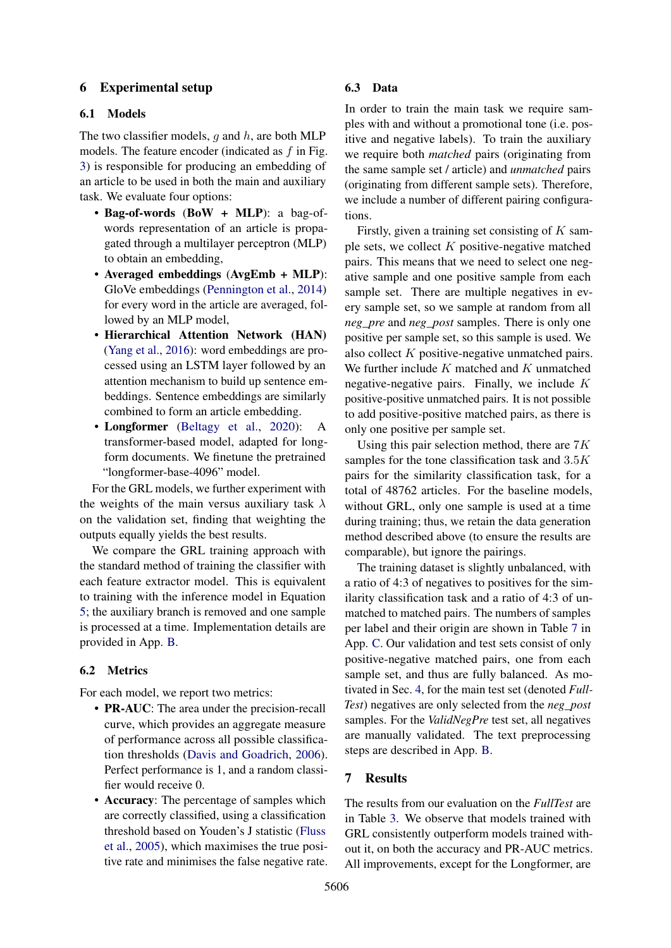## <span id="page-5-0"></span>6 Experimental setup

## 6.1 Models

The two classifier models,  $q$  and  $h$ , are both MLP models. The feature encoder (indicated as  $f$  in Fig. [3\)](#page-4-0) is responsible for producing an embedding of an article to be used in both the main and auxiliary task. We evaluate four options:

- Bag-of-words (BoW + MLP): a bag-ofwords representation of an article is propagated through a multilayer perceptron (MLP) to obtain an embedding,
- Averaged embeddings (AvgEmb + MLP): GloVe embeddings [\(Pennington et al.,](#page-9-9) [2014\)](#page-9-9) for every word in the article are averaged, followed by an MLP model,
- Hierarchical Attention Network (HAN) [\(Yang et al.,](#page-9-10) [2016\)](#page-9-10): word embeddings are processed using an LSTM layer followed by an attention mechanism to build up sentence embeddings. Sentence embeddings are similarly combined to form an article embedding.
- Longformer [\(Beltagy et al.,](#page-8-6) [2020\)](#page-8-6): A transformer-based model, adapted for longform documents. We finetune the pretrained "longformer-base-4096" model.

For the GRL models, we further experiment with the weights of the main versus auxiliary task  $\lambda$ on the validation set, finding that weighting the outputs equally yields the best results.

We compare the GRL training approach with the standard method of training the classifier with each feature extractor model. This is equivalent to training with the inference model in Equation [5;](#page-4-1) the auxiliary branch is removed and one sample is processed at a time. Implementation details are provided in App. [B.](#page-10-0)

## 6.2 Metrics

For each model, we report two metrics:

- **PR-AUC**: The area under the precision-recall curve, which provides an aggregate measure of performance across all possible classification thresholds [\(Davis and Goadrich,](#page-8-7) [2006\)](#page-8-7). Perfect performance is 1, and a random classifier would receive 0.
- Accuracy: The percentage of samples which are correctly classified, using a classification threshold based on Youden's J statistic [\(Fluss](#page-9-11) [et al.,](#page-9-11) [2005\)](#page-9-11), which maximises the true positive rate and minimises the false negative rate.

#### 6.3 Data

In order to train the main task we require samples with and without a promotional tone (i.e. positive and negative labels). To train the auxiliary we require both *matched* pairs (originating from the same sample set / article) and *unmatched* pairs (originating from different sample sets). Therefore, we include a number of different pairing configurations.

Firstly, given a training set consisting of  $K$  sample sets, we collect  $K$  positive-negative matched pairs. This means that we need to select one negative sample and one positive sample from each sample set. There are multiple negatives in every sample set, so we sample at random from all *neg\_pre* and *neg\_post* samples. There is only one positive per sample set, so this sample is used. We also collect K positive-negative unmatched pairs. We further include  $K$  matched and  $K$  unmatched negative-negative pairs. Finally, we include  $K$ positive-positive unmatched pairs. It is not possible to add positive-positive matched pairs, as there is only one positive per sample set.

Using this pair selection method, there are  $7K$ samples for the tone classification task and  $3.5K$ pairs for the similarity classification task, for a total of 48762 articles. For the baseline models, without GRL, only one sample is used at a time during training; thus, we retain the data generation method described above (to ensure the results are comparable), but ignore the pairings.

The training dataset is slightly unbalanced, with a ratio of 4:3 of negatives to positives for the similarity classification task and a ratio of 4:3 of unmatched to matched pairs. The numbers of samples per label and their origin are shown in Table [7](#page-11-0) in App. [C.](#page-10-1) Our validation and test sets consist of only positive-negative matched pairs, one from each sample set, and thus are fully balanced. As motivated in Sec. [4,](#page-2-2) for the main test set (denoted *Full-Test*) negatives are only selected from the *neg\_post* samples. For the *ValidNegPre* test set, all negatives are manually validated. The text preprocessing steps are described in App. [B.](#page-10-0)

#### <span id="page-5-1"></span>7 Results

The results from our evaluation on the *FullTest* are in Table [3.](#page-6-0) We observe that models trained with GRL consistently outperform models trained without it, on both the accuracy and PR-AUC metrics. All improvements, except for the Longformer, are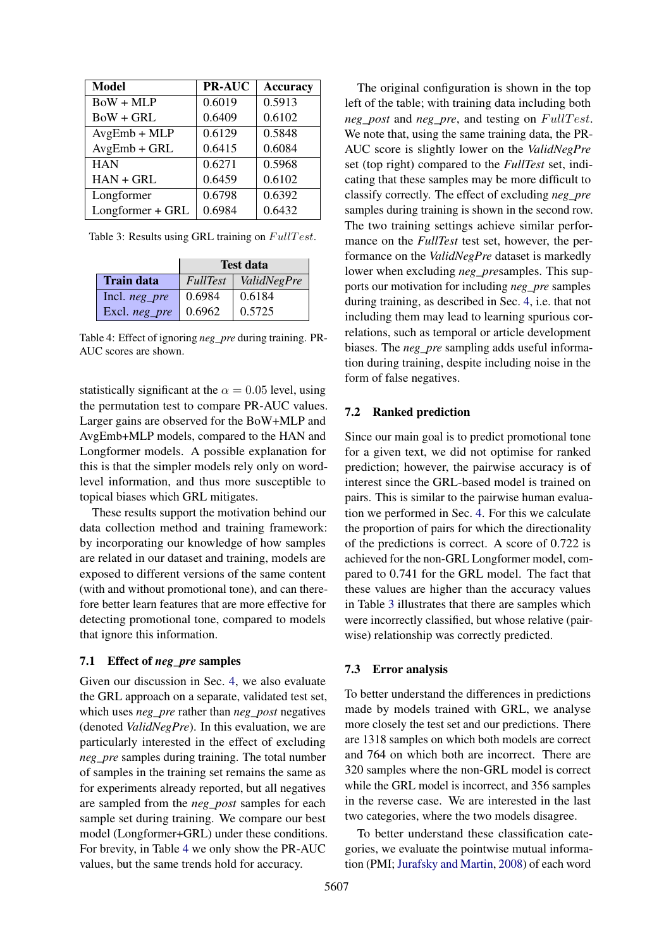<span id="page-6-0"></span>

| <b>Model</b>     | <b>PR-AUC</b> | <b>Accuracy</b> |
|------------------|---------------|-----------------|
| $BoW + MLP$      | 0.6019        | 0.5913          |
| $BoW + GRL$      | 0.6409        | 0.6102          |
| $AvgEmb + MLP$   | 0.6129        | 0.5848          |
| $AvgEmb + GRL$   | 0.6415        | 0.6084          |
| <b>HAN</b>       | 0.6271        | 0.5968          |
| $HAN + GRL$      | 0.6459        | 0.6102          |
| Longformer       | 0.6798        | 0.6392          |
| Longformer + GRL | 0.6984        | 0.6432          |

Table 3: Results using GRL training on  $Full Test$ .

<span id="page-6-1"></span>

|                  | <b>Test data</b> |             |
|------------------|------------------|-------------|
| Train data       | FullTest         | ValidNegPre |
| Incl. $neg\_pre$ | 0.6984           | 0.6184      |
| Excl. neg_pre    | 0.6962           | 0.5725      |

Table 4: Effect of ignoring *neg\_pre* during training. PR-AUC scores are shown.

statistically significant at the  $\alpha = 0.05$  level, using the permutation test to compare PR-AUC values. Larger gains are observed for the BoW+MLP and AvgEmb+MLP models, compared to the HAN and Longformer models. A possible explanation for this is that the simpler models rely only on wordlevel information, and thus more susceptible to topical biases which GRL mitigates.

These results support the motivation behind our data collection method and training framework: by incorporating our knowledge of how samples are related in our dataset and training, models are exposed to different versions of the same content (with and without promotional tone), and can therefore better learn features that are more effective for detecting promotional tone, compared to models that ignore this information.

### 7.1 Effect of *neg\_pre* samples

Given our discussion in Sec. [4,](#page-2-2) we also evaluate the GRL approach on a separate, validated test set, which uses *neg\_pre* rather than *neg\_post* negatives (denoted *ValidNegPre*). In this evaluation, we are particularly interested in the effect of excluding *neg\_pre* samples during training. The total number of samples in the training set remains the same as for experiments already reported, but all negatives are sampled from the *neg\_post* samples for each sample set during training. We compare our best model (Longformer+GRL) under these conditions. For brevity, in Table [4](#page-6-1) we only show the PR-AUC values, but the same trends hold for accuracy.

The original configuration is shown in the top left of the table; with training data including both *neg\_post* and *neg\_pre*, and testing on  $Full Test$ . We note that, using the same training data, the PR-AUC score is slightly lower on the *ValidNegPre* set (top right) compared to the *FullTest* set, indicating that these samples may be more difficult to classify correctly. The effect of excluding *neg\_pre* samples during training is shown in the second row. The two training settings achieve similar performance on the *FullTest* test set, however, the performance on the *ValidNegPre* dataset is markedly lower when excluding *neg\_pre*samples. This supports our motivation for including *neg\_pre* samples during training, as described in Sec. [4,](#page-2-2) i.e. that not including them may lead to learning spurious correlations, such as temporal or article development biases. The *neg\_pre* sampling adds useful information during training, despite including noise in the form of false negatives.

#### 7.2 Ranked prediction

Since our main goal is to predict promotional tone for a given text, we did not optimise for ranked prediction; however, the pairwise accuracy is of interest since the GRL-based model is trained on pairs. This is similar to the pairwise human evaluation we performed in Sec. [4.](#page-2-2) For this we calculate the proportion of pairs for which the directionality of the predictions is correct. A score of 0.722 is achieved for the non-GRL Longformer model, compared to 0.741 for the GRL model. The fact that these values are higher than the accuracy values in Table [3](#page-6-0) illustrates that there are samples which were incorrectly classified, but whose relative (pairwise) relationship was correctly predicted.

#### <span id="page-6-2"></span>7.3 Error analysis

To better understand the differences in predictions made by models trained with GRL, we analyse more closely the test set and our predictions. There are 1318 samples on which both models are correct and 764 on which both are incorrect. There are 320 samples where the non-GRL model is correct while the GRL model is incorrect, and 356 samples in the reverse case. We are interested in the last two categories, where the two models disagree.

To better understand these classification categories, we evaluate the pointwise mutual information (PMI; [Jurafsky and Martin,](#page-9-12) [2008\)](#page-9-12) of each word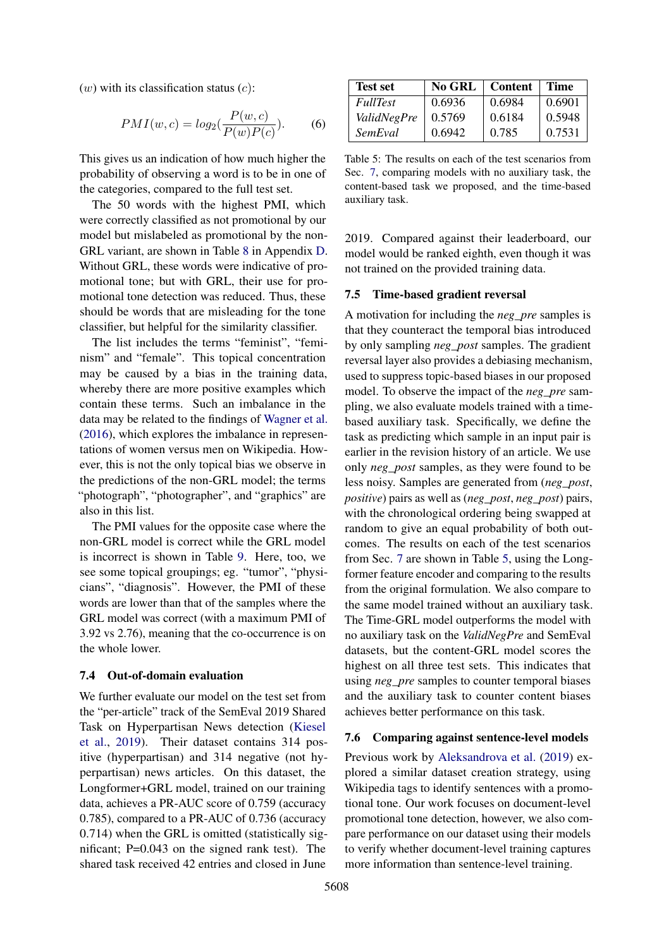$(w)$  with its classification status  $(c)$ :

$$
PMI(w, c) = log_2(\frac{P(w, c)}{P(w)P(c)}).
$$
 (6)

This gives us an indication of how much higher the probability of observing a word is to be in one of the categories, compared to the full test set.

The 50 words with the highest PMI, which were correctly classified as not promotional by our model but mislabeled as promotional by the non-GRL variant, are shown in Table [8](#page-12-0) in Appendix [D.](#page-10-2) Without GRL, these words were indicative of promotional tone; but with GRL, their use for promotional tone detection was reduced. Thus, these should be words that are misleading for the tone classifier, but helpful for the similarity classifier.

The list includes the terms "feminist", "feminism" and "female". This topical concentration may be caused by a bias in the training data, whereby there are more positive examples which contain these terms. Such an imbalance in the data may be related to the findings of [Wagner et al.](#page-9-13) [\(2016\)](#page-9-13), which explores the imbalance in representations of women versus men on Wikipedia. However, this is not the only topical bias we observe in the predictions of the non-GRL model; the terms "photograph", "photographer", and "graphics" are also in this list.

The PMI values for the opposite case where the non-GRL model is correct while the GRL model is incorrect is shown in Table [9.](#page-12-1) Here, too, we see some topical groupings; eg. "tumor", "physicians", "diagnosis". However, the PMI of these words are lower than that of the samples where the GRL model was correct (with a maximum PMI of 3.92 vs 2.76), meaning that the co-occurrence is on the whole lower.

#### 7.4 Out-of-domain evaluation

We further evaluate our model on the test set from the "per-article" track of the SemEval 2019 Shared Task on Hyperpartisan News detection [\(Kiesel](#page-9-3) [et al.,](#page-9-3) [2019\)](#page-9-3). Their dataset contains 314 positive (hyperpartisan) and 314 negative (not hyperpartisan) news articles. On this dataset, the Longformer+GRL model, trained on our training data, achieves a PR-AUC score of 0.759 (accuracy 0.785), compared to a PR-AUC of 0.736 (accuracy 0.714) when the GRL is omitted (statistically significant; P=0.043 on the signed rank test). The shared task received 42 entries and closed in June

<span id="page-7-0"></span>

| <b>Test set</b>    | No GRL | Content   Time |        |
|--------------------|--------|----------------|--------|
| <i>FullTest</i>    | 0.6936 | 0.6984         | 0.6901 |
| <b>ValidNegPre</b> | 0.5769 | 0.6184         | 0.5948 |
| SemEval            | 0.6942 | 0.785          | 0.7531 |

Table 5: The results on each of the test scenarios from Sec. [7,](#page-5-1) comparing models with no auxiliary task, the content-based task we proposed, and the time-based auxiliary task.

2019. Compared against their leaderboard, our model would be ranked eighth, even though it was not trained on the provided training data.

### 7.5 Time-based gradient reversal

A motivation for including the *neg\_pre* samples is that they counteract the temporal bias introduced by only sampling *neg\_post* samples. The gradient reversal layer also provides a debiasing mechanism, used to suppress topic-based biases in our proposed model. To observe the impact of the *neg\_pre* sampling, we also evaluate models trained with a timebased auxiliary task. Specifically, we define the task as predicting which sample in an input pair is earlier in the revision history of an article. We use only *neg\_post* samples, as they were found to be less noisy. Samples are generated from (*neg\_post*, *positive*) pairs as well as (*neg\_post*, *neg\_post*) pairs, with the chronological ordering being swapped at random to give an equal probability of both outcomes. The results on each of the test scenarios from Sec. [7](#page-5-1) are shown in Table [5,](#page-7-0) using the Longformer feature encoder and comparing to the results from the original formulation. We also compare to the same model trained without an auxiliary task. The Time-GRL model outperforms the model with no auxiliary task on the *ValidNegPre* and SemEval datasets, but the content-GRL model scores the highest on all three test sets. This indicates that using *neg\_pre* samples to counter temporal biases and the auxiliary task to counter content biases achieves better performance on this task.

#### 7.6 Comparing against sentence-level models

Previous work by [Aleksandrova et al.](#page-8-2) [\(2019\)](#page-8-2) explored a similar dataset creation strategy, using Wikipedia tags to identify sentences with a promotional tone. Our work focuses on document-level promotional tone detection, however, we also compare performance on our dataset using their models to verify whether document-level training captures more information than sentence-level training.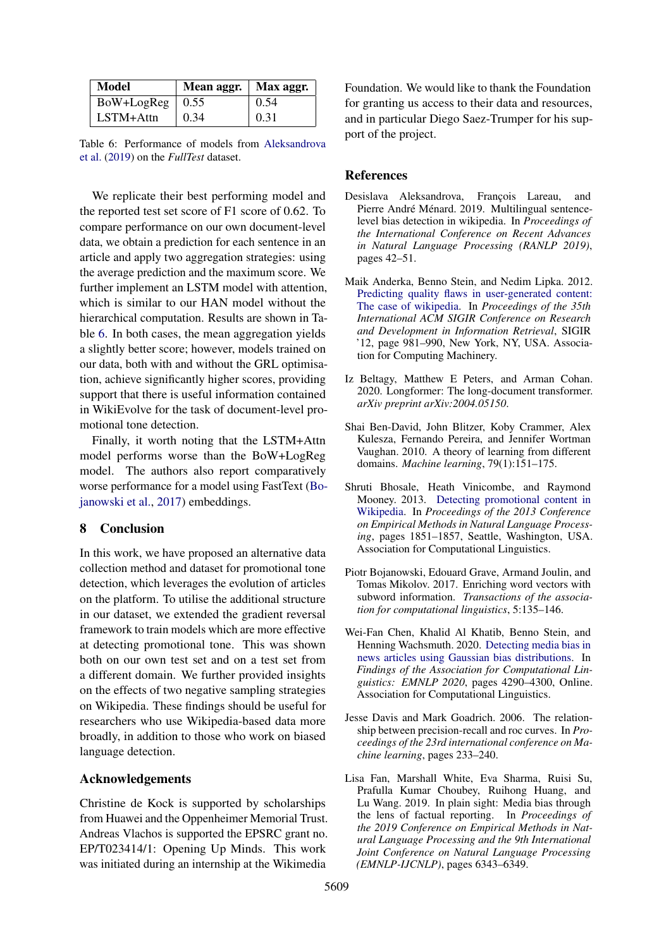<span id="page-8-8"></span>

| Model               | Mean aggr.   Max aggr. |      |
|---------------------|------------------------|------|
| $BoW+LogReg$   0.55 |                        | 0.54 |
| $LSTM+Attn$         | 0.34                   | 0.31 |

Table 6: Performance of models from [Aleksandrova](#page-8-2) [et al.](#page-8-2) [\(2019\)](#page-8-2) on the *FullTest* dataset.

We replicate their best performing model and the reported test set score of F1 score of 0.62. To compare performance on our own document-level data, we obtain a prediction for each sentence in an article and apply two aggregation strategies: using the average prediction and the maximum score. We further implement an LSTM model with attention, which is similar to our HAN model without the hierarchical computation. Results are shown in Table [6.](#page-8-8) In both cases, the mean aggregation yields a slightly better score; however, models trained on our data, both with and without the GRL optimisation, achieve significantly higher scores, providing support that there is useful information contained in WikiEvolve for the task of document-level promotional tone detection.

Finally, it worth noting that the LSTM+Attn model performs worse than the BoW+LogReg model. The authors also report comparatively worse performance for a model using FastText [\(Bo](#page-8-9)[janowski et al.,](#page-8-9) [2017\)](#page-8-9) embeddings.

## 8 Conclusion

In this work, we have proposed an alternative data collection method and dataset for promotional tone detection, which leverages the evolution of articles on the platform. To utilise the additional structure in our dataset, we extended the gradient reversal framework to train models which are more effective at detecting promotional tone. This was shown both on our own test set and on a test set from a different domain. We further provided insights on the effects of two negative sampling strategies on Wikipedia. These findings should be useful for researchers who use Wikipedia-based data more broadly, in addition to those who work on biased language detection.

### Acknowledgements

Christine de Kock is supported by scholarships from Huawei and the Oppenheimer Memorial Trust. Andreas Vlachos is supported the EPSRC grant no. EP/T023414/1: Opening Up Minds. This work was initiated during an internship at the Wikimedia

Foundation. We would like to thank the Foundation for granting us access to their data and resources, and in particular Diego Saez-Trumper for his support of the project.

#### References

- <span id="page-8-2"></span>Desislava Aleksandrova, François Lareau, and Pierre André Ménard. 2019. Multilingual sentencelevel bias detection in wikipedia. In *Proceedings of the International Conference on Recent Advances in Natural Language Processing (RANLP 2019)*, pages 42–51.
- <span id="page-8-3"></span>Maik Anderka, Benno Stein, and Nedim Lipka. 2012. [Predicting quality flaws in user-generated content:](https://doi.org/10.1145/2348283.2348413) [The case of wikipedia.](https://doi.org/10.1145/2348283.2348413) In *Proceedings of the 35th International ACM SIGIR Conference on Research and Development in Information Retrieval*, SIGIR '12, page 981–990, New York, NY, USA. Association for Computing Machinery.
- <span id="page-8-6"></span>Iz Beltagy, Matthew E Peters, and Arman Cohan. 2020. Longformer: The long-document transformer. *arXiv preprint arXiv:2004.05150*.
- <span id="page-8-5"></span>Shai Ben-David, John Blitzer, Koby Crammer, Alex Kulesza, Fernando Pereira, and Jennifer Wortman Vaughan. 2010. A theory of learning from different domains. *Machine learning*, 79(1):151–175.
- <span id="page-8-4"></span>Shruti Bhosale, Heath Vinicombe, and Raymond Mooney. 2013. [Detecting promotional content in](https://aclanthology.org/D13-1190) [Wikipedia.](https://aclanthology.org/D13-1190) In *Proceedings of the 2013 Conference on Empirical Methods in Natural Language Processing*, pages 1851–1857, Seattle, Washington, USA. Association for Computational Linguistics.
- <span id="page-8-9"></span>Piotr Bojanowski, Edouard Grave, Armand Joulin, and Tomas Mikolov. 2017. Enriching word vectors with subword information. *Transactions of the association for computational linguistics*, 5:135–146.
- <span id="page-8-1"></span>Wei-Fan Chen, Khalid Al Khatib, Benno Stein, and Henning Wachsmuth. 2020. [Detecting media bias in](https://doi.org/10.18653/v1/2020.findings-emnlp.383) [news articles using Gaussian bias distributions.](https://doi.org/10.18653/v1/2020.findings-emnlp.383) In *Findings of the Association for Computational Linguistics: EMNLP 2020*, pages 4290–4300, Online. Association for Computational Linguistics.
- <span id="page-8-7"></span>Jesse Davis and Mark Goadrich. 2006. The relationship between precision-recall and roc curves. In *Proceedings of the 23rd international conference on Machine learning*, pages 233–240.
- <span id="page-8-0"></span>Lisa Fan, Marshall White, Eva Sharma, Ruisi Su, Prafulla Kumar Choubey, Ruihong Huang, and Lu Wang. 2019. In plain sight: Media bias through the lens of factual reporting. In *Proceedings of the 2019 Conference on Empirical Methods in Natural Language Processing and the 9th International Joint Conference on Natural Language Processing (EMNLP-IJCNLP)*, pages 6343–6349.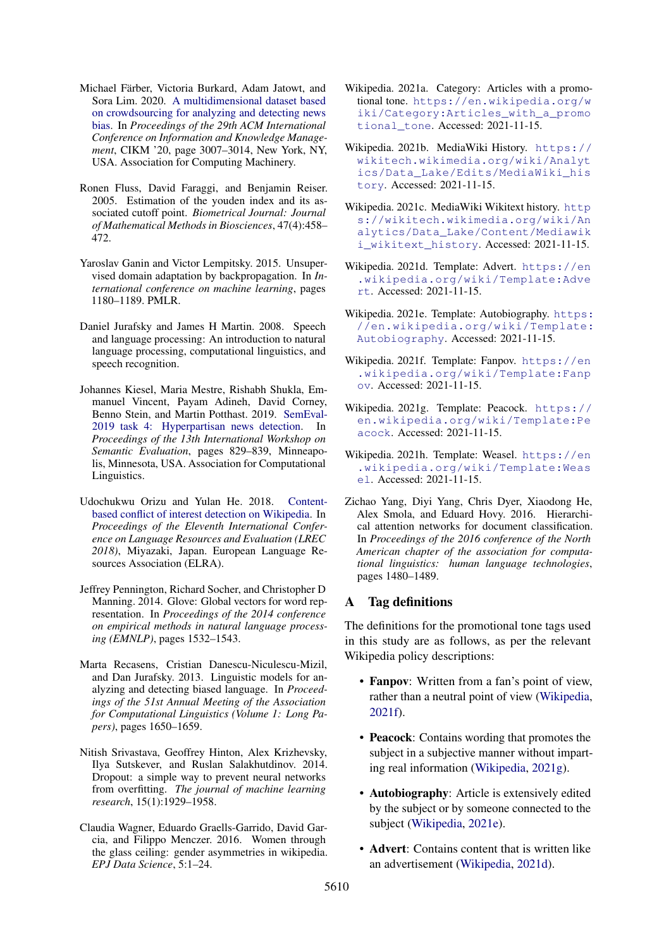- <span id="page-9-0"></span>Michael Färber, Victoria Burkard, Adam Jatowt, and Sora Lim. 2020. [A multidimensional dataset based](https://doi.org/10.1145/3340531.3412876) [on crowdsourcing for analyzing and detecting news](https://doi.org/10.1145/3340531.3412876) [bias.](https://doi.org/10.1145/3340531.3412876) In *Proceedings of the 29th ACM International Conference on Information and Knowledge Management*, CIKM '20, page 3007–3014, New York, NY, USA. Association for Computing Machinery.
- <span id="page-9-11"></span>Ronen Fluss, David Faraggi, and Benjamin Reiser. 2005. Estimation of the youden index and its associated cutoff point. *Biometrical Journal: Journal of Mathematical Methods in Biosciences*, 47(4):458– 472.
- <span id="page-9-2"></span>Yaroslav Ganin and Victor Lempitsky. 2015. Unsupervised domain adaptation by backpropagation. In *International conference on machine learning*, pages 1180–1189. PMLR.
- <span id="page-9-12"></span>Daniel Jurafsky and James H Martin. 2008. Speech and language processing: An introduction to natural language processing, computational linguistics, and speech recognition.
- <span id="page-9-3"></span>Johannes Kiesel, Maria Mestre, Rishabh Shukla, Emmanuel Vincent, Payam Adineh, David Corney, Benno Stein, and Martin Potthast. 2019. [SemEval-](https://doi.org/10.18653/v1/S19-2145)[2019 task 4: Hyperpartisan news detection.](https://doi.org/10.18653/v1/S19-2145) In *Proceedings of the 13th International Workshop on Semantic Evaluation*, pages 829–839, Minneapolis, Minnesota, USA. Association for Computational Linguistics.
- <span id="page-9-4"></span>Udochukwu Orizu and Yulan He. 2018. [Content](https://aclanthology.org/L18-1026)[based conflict of interest detection on Wikipedia.](https://aclanthology.org/L18-1026) In *Proceedings of the Eleventh International Conference on Language Resources and Evaluation (LREC 2018)*, Miyazaki, Japan. European Language Resources Association (ELRA).
- <span id="page-9-9"></span>Jeffrey Pennington, Richard Socher, and Christopher D Manning. 2014. Glove: Global vectors for word representation. In *Proceedings of the 2014 conference on empirical methods in natural language processing (EMNLP)*, pages 1532–1543.
- <span id="page-9-1"></span>Marta Recasens, Cristian Danescu-Niculescu-Mizil, and Dan Jurafsky. 2013. Linguistic models for analyzing and detecting biased language. In *Proceedings of the 51st Annual Meeting of the Association for Computational Linguistics (Volume 1: Long Papers)*, pages 1650–1659.
- <span id="page-9-19"></span>Nitish Srivastava, Geoffrey Hinton, Alex Krizhevsky, Ilya Sutskever, and Ruslan Salakhutdinov. 2014. Dropout: a simple way to prevent neural networks from overfitting. *The journal of machine learning research*, 15(1):1929–1958.
- <span id="page-9-13"></span>Claudia Wagner, Eduardo Graells-Garrido, David Garcia, and Filippo Menczer. 2016. Women through the glass ceiling: gender asymmetries in wikipedia. *EPJ Data Science*, 5:1–24.
- <span id="page-9-5"></span>Wikipedia. 2021a. Category: Articles with a promotional tone. [https://en.wikipedia.org/w](https://en.wikipedia.org/wiki/Category:Articles_with_a_promotional_tone) [iki/Category:Articles\\_with\\_a\\_promo](https://en.wikipedia.org/wiki/Category:Articles_with_a_promotional_tone) [tional\\_tone](https://en.wikipedia.org/wiki/Category:Articles_with_a_promotional_tone). Accessed: 2021-11-15.
- <span id="page-9-8"></span>Wikipedia. 2021b. MediaWiki History. [https://](https://wikitech.wikimedia.org/wiki/Analytics/Data_Lake/Edits/MediaWiki_history) [wikitech.wikimedia.org/wiki/Analyt](https://wikitech.wikimedia.org/wiki/Analytics/Data_Lake/Edits/MediaWiki_history) [ics/Data\\_Lake/Edits/MediaWiki\\_his](https://wikitech.wikimedia.org/wiki/Analytics/Data_Lake/Edits/MediaWiki_history) [tory](https://wikitech.wikimedia.org/wiki/Analytics/Data_Lake/Edits/MediaWiki_history). Accessed: 2021-11-15.
- <span id="page-9-7"></span>Wikipedia. 2021c. MediaWiki Wikitext history. [http](https://wikitech.wikimedia.org/wiki/Analytics/Data_Lake/Content/Mediawiki_wikitext_history) [s://wikitech.wikimedia.org/wiki/An](https://wikitech.wikimedia.org/wiki/Analytics/Data_Lake/Content/Mediawiki_wikitext_history) [alytics/Data\\_Lake/Content/Mediawik](https://wikitech.wikimedia.org/wiki/Analytics/Data_Lake/Content/Mediawiki_wikitext_history) [i\\_wikitext\\_history](https://wikitech.wikimedia.org/wiki/Analytics/Data_Lake/Content/Mediawiki_wikitext_history). Accessed: 2021-11-15.
- <span id="page-9-17"></span>Wikipedia. 2021d. Template: Advert. [https://en](https://en.wikipedia.org/wiki/Template:Advert) [.wikipedia.org/wiki/Template:Adve](https://en.wikipedia.org/wiki/Template:Advert) [rt](https://en.wikipedia.org/wiki/Template:Advert). Accessed: 2021-11-15.
- <span id="page-9-16"></span>Wikipedia. 2021e. Template: Autobiography. [https:](https://en.wikipedia.org/wiki/Template:Autobiography) [//en.wikipedia.org/wiki/Template:](https://en.wikipedia.org/wiki/Template:Autobiography) [Autobiography](https://en.wikipedia.org/wiki/Template:Autobiography). Accessed: 2021-11-15.
- <span id="page-9-14"></span>Wikipedia. 2021f. Template: Fanpov. [https://en](https://en.wikipedia.org/wiki/Template:Fanpov) [.wikipedia.org/wiki/Template:Fanp](https://en.wikipedia.org/wiki/Template:Fanpov) [ov](https://en.wikipedia.org/wiki/Template:Fanpov). Accessed: 2021-11-15.
- <span id="page-9-15"></span>Wikipedia. 2021g. Template: Peacock. [https://](https://en.wikipedia.org/wiki/Template:Peacock) [en.wikipedia.org/wiki/Template:Pe](https://en.wikipedia.org/wiki/Template:Peacock) [acock](https://en.wikipedia.org/wiki/Template:Peacock). Accessed: 2021-11-15.
- <span id="page-9-18"></span>Wikipedia. 2021h. Template: Weasel. [https://en](https://en.wikipedia.org/wiki/Template:Weasel) [.wikipedia.org/wiki/Template:Weas](https://en.wikipedia.org/wiki/Template:Weasel) [el](https://en.wikipedia.org/wiki/Template:Weasel). Accessed: 2021-11-15.
- <span id="page-9-10"></span>Zichao Yang, Diyi Yang, Chris Dyer, Xiaodong He, Alex Smola, and Eduard Hovy. 2016. Hierarchical attention networks for document classification. In *Proceedings of the 2016 conference of the North American chapter of the association for computational linguistics: human language technologies*, pages 1480–1489.

### <span id="page-9-6"></span>A Tag definitions

The definitions for the promotional tone tags used in this study are as follows, as per the relevant Wikipedia policy descriptions:

- **Fanpov**: Written from a fan's point of view, rather than a neutral point of view [\(Wikipedia,](#page-9-14) [2021f\)](#page-9-14).
- Peacock: Contains wording that promotes the subject in a subjective manner without imparting real information [\(Wikipedia,](#page-9-15) [2021g\)](#page-9-15).
- Autobiography: Article is extensively edited by the subject or by someone connected to the subject [\(Wikipedia,](#page-9-16) [2021e\)](#page-9-16).
- **Advert**: Contains content that is written like an advertisement [\(Wikipedia,](#page-9-17) [2021d\)](#page-9-17).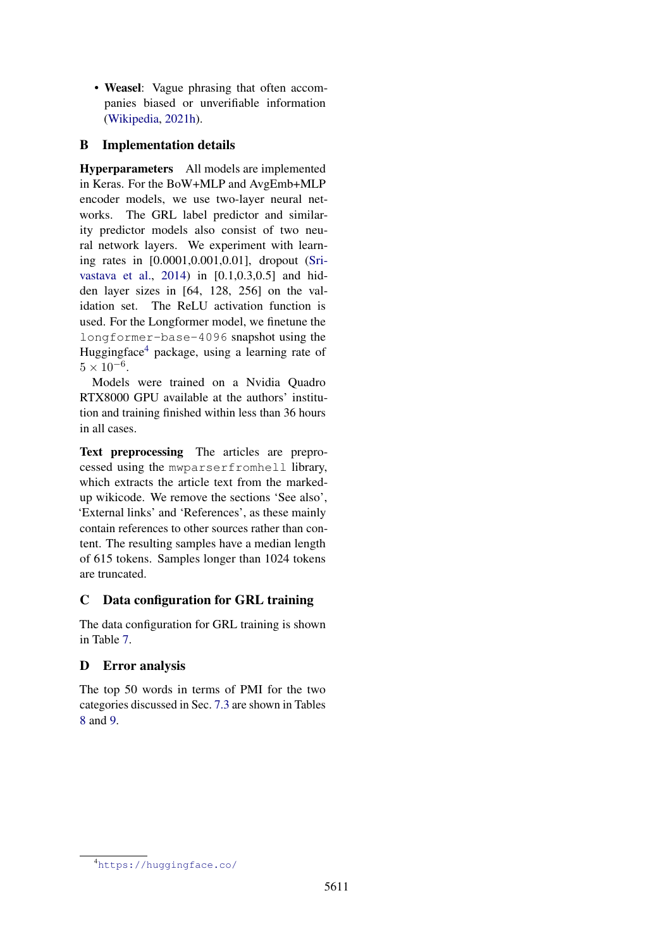• Weasel: Vague phrasing that often accompanies biased or unverifiable information [\(Wikipedia,](#page-9-18) [2021h\)](#page-9-18).

## <span id="page-10-0"></span>B Implementation details

Hyperparameters All models are implemented in Keras. For the BoW+MLP and AvgEmb+MLP encoder models, we use two-layer neural networks. The GRL label predictor and similarity predictor models also consist of two neural network layers. We experiment with learning rates in  $[0.0001, 0.001, 0.01]$ , dropout [\(Sri](#page-9-19)[vastava et al.,](#page-9-19) [2014\)](#page-9-19) in [0.1,0.3,0.5] and hidden layer sizes in [64, 128, 256] on the validation set. The ReLU activation function is used. For the Longformer model, we finetune the longformer-base-4096 snapshot using the Huggingface[4](#page-10-3) package, using a learning rate of  $5 \times 10^{-6}$ .

Models were trained on a Nvidia Quadro RTX8000 GPU available at the authors' institution and training finished within less than 36 hours in all cases.

Text preprocessing The articles are preprocessed using the mwparserfromhell library, which extracts the article text from the markedup wikicode. We remove the sections 'See also', 'External links' and 'References', as these mainly contain references to other sources rather than content. The resulting samples have a median length of 615 tokens. Samples longer than 1024 tokens are truncated.

## <span id="page-10-1"></span>C Data configuration for GRL training

The data configuration for GRL training is shown in Table [7.](#page-11-0)

# <span id="page-10-2"></span>D Error analysis

The top 50 words in terms of PMI for the two categories discussed in Sec. [7.3](#page-6-2) are shown in Tables [8](#page-12-0) and [9.](#page-12-1)

<span id="page-10-3"></span><sup>4</sup><https://huggingface.co/>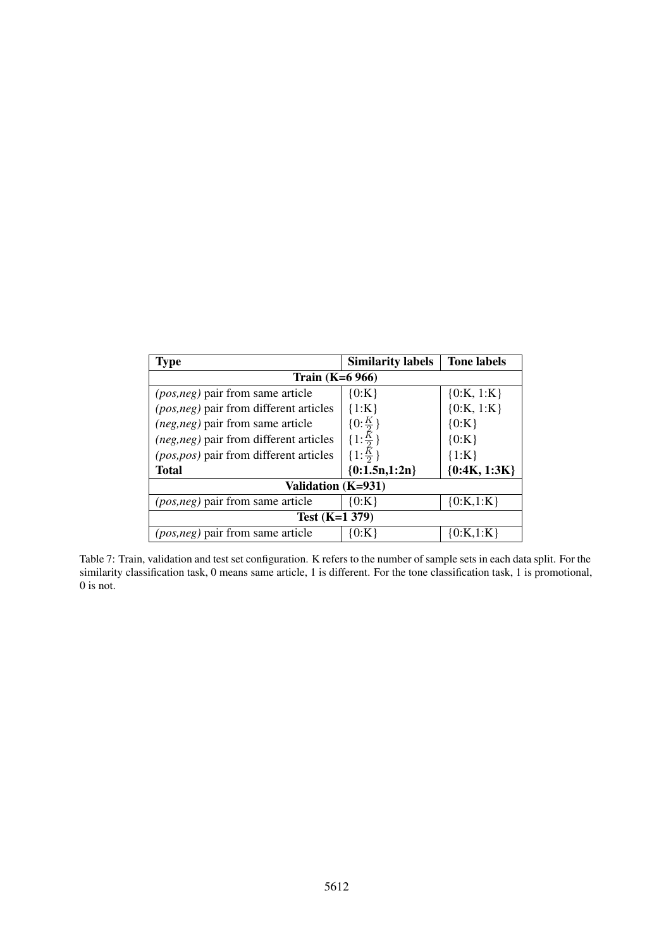<span id="page-11-0"></span>

| <b>Type</b>                                   | <b>Similarity labels</b>   | <b>Tone labels</b> |  |  |
|-----------------------------------------------|----------------------------|--------------------|--|--|
| Train $(K=6 966)$                             |                            |                    |  |  |
| <i>(pos,neg)</i> pair from same article       | ${0:K}$                    | ${0:K, 1:K}$       |  |  |
| (pos, neg) pair from different articles       | $\{1:K\}$                  | ${0:K, 1:K}$       |  |  |
| <i>(neg,neg)</i> pair from same article       | $\{0:\frac{K}{2}\}\$       | ${0:K}$            |  |  |
| <i>(neg,neg)</i> pair from different articles | $\{1:\frac{\bar{K}}{2}\}\$ | ${0:K}$            |  |  |
| (pos, pos) pair from different articles       | $\{1:\frac{\bar{K}}{2}\}$  | $\{1:K\}$          |  |  |
| <b>Total</b>                                  | ${0:1.5n,1:2n}$            | ${0:4K, 1:3K}$     |  |  |
| Validation (K=931)                            |                            |                    |  |  |
| <i>(pos,neg)</i> pair from same article       | ${0:K}$                    | ${0:K,1:K}$        |  |  |
| Test $(K=1 379)$                              |                            |                    |  |  |
| <i>(pos,neg)</i> pair from same article       | {0:K`                      | ${0:}K{,1:}K$      |  |  |

Table 7: Train, validation and test set configuration. K refers to the number of sample sets in each data split. For the similarity classification task, 0 means same article, 1 is different. For the tone classification task, 1 is promotional, 0 is not.